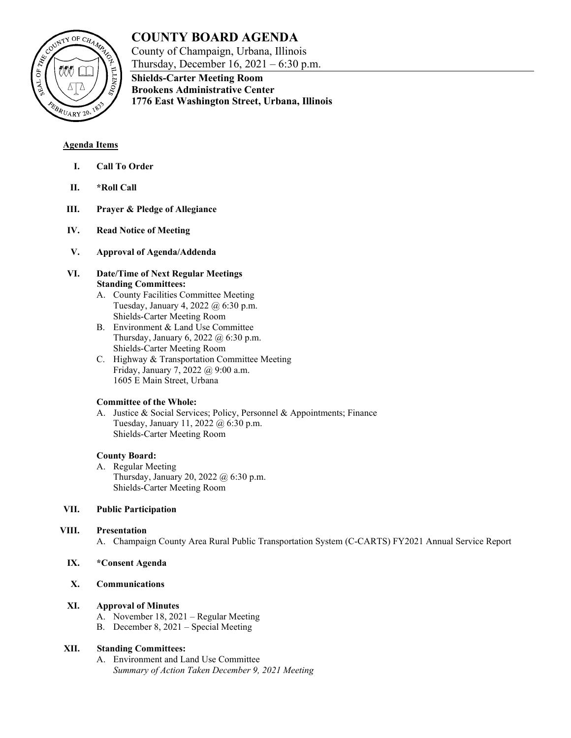

# **COUNTY BOARD AGENDA**

County of Champaign, Urbana, Illinois Thursday, December 16, 2021 – 6:30 p.m.

**Shields-Carter Meeting Room Brookens Administrative Center 1776 East Washington Street, Urbana, Illinois**

## **Agenda Items**

- **I. Call To Order**
- **II. \*Roll Call**
- **III. Prayer & Pledge of Allegiance**
- **IV. Read Notice of Meeting**
- **V. Approval of Agenda/Addenda**

### **VI. Date/Time of Next Regular Meetings Standing Committees:**

- A. County Facilities Committee Meeting Tuesday, January 4, 2022 @ 6:30 p.m. Shields-Carter Meeting Room
- B. Environment & Land Use Committee Thursday, January 6, 2022 @ 6:30 p.m. Shields-Carter Meeting Room
- C. Highway & Transportation Committee Meeting Friday, January 7, 2022 @ 9:00 a.m. 1605 E Main Street, Urbana

## **Committee of the Whole:**

A. Justice & Social Services; Policy, Personnel & Appointments; Finance Tuesday, January 11, 2022 @ 6:30 p.m. Shields-Carter Meeting Room

## **County Board:**

A. Regular Meeting Thursday, January 20, 2022 @ 6:30 p.m. Shields-Carter Meeting Room

## **VII. Public Participation**

## **VIII. Presentation**

A. Champaign County Area Rural Public Transportation System (C-CARTS) FY2021 Annual Service Report

## **IX. \*Consent Agenda**

# **X. Communications**

## **XI. Approval of Minutes**

- A. November 18, 2021 Regular Meeting
- B. December 8, 2021 Special Meeting

## **XII. Standing Committees:**

A. Environment and Land Use Committee *Summary of Action Taken December 9, 2021 Meeting*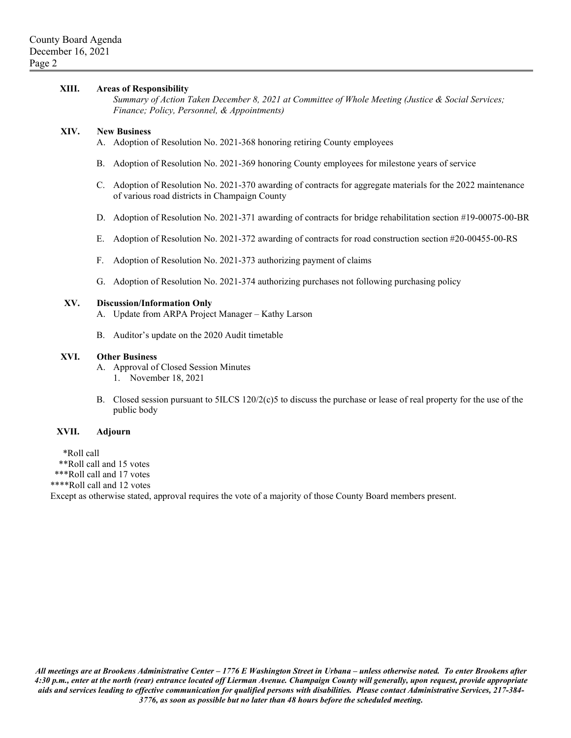#### **XIII. Areas of Responsibility**

*Summary of Action Taken December 8, 2021 at Committee of Whole Meeting (Justice & Social Services; Finance; Policy, Personnel, & Appointments)*

#### **XIV. New Business**

A. Adoption of Resolution No. 2021-368 honoring retiring County employees

- B. Adoption of Resolution No. 2021-369 honoring County employees for milestone years of service
- C. Adoption of Resolution No. 2021-370 awarding of contracts for aggregate materials for the 2022 maintenance of various road districts in Champaign County
- D. Adoption of Resolution No. 2021-371 awarding of contracts for bridge rehabilitation section #19-00075-00-BR
- E. Adoption of Resolution No. 2021-372 awarding of contracts for road construction section #20-00455-00-RS
- F. Adoption of Resolution No. 2021-373 authorizing payment of claims
- G. Adoption of Resolution No. 2021-374 authorizing purchases not following purchasing policy

#### **XV. Discussion/Information Only**

- A. Update from ARPA Project Manager Kathy Larson
- B. Auditor's update on the 2020 Audit timetable

#### **XVI. Other Business**

A. Approval of Closed Session Minutes 1. November 18, 2021

B. Closed session pursuant to 5ILCS 120/2(c)5 to discuss the purchase or lease of real property for the use of the public body

#### **XVII. Adjourn**

\*Roll call

\*\*Roll call and 15 votes

\*\*\*Roll call and 17 votes

\*\*\*\*Roll call and 12 votes

Except as otherwise stated, approval requires the vote of a majority of those County Board members present.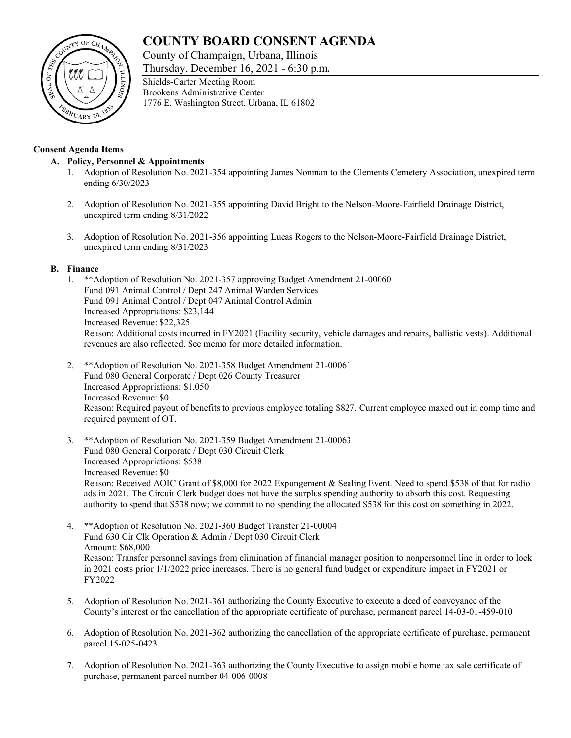# **COUNTY BOARD CONSENT AGENDA**

County of Champaign, Urbana, Illinois

Thursday, December 16, 2021 - 6:30 p.m.



## **Consent Agenda Items**

## **A. Policy, Personnel & Appointments**

- 1. Adoption of Resolution No. 2021-354 appointing James Nonman to the Clements Cemetery Association, unexpired term ending 6/30/2023
- 2. Adoption of Resolution No. 2021-355 appointing David Bright to the Nelson-Moore-Fairfield Drainage District, unexpired term ending 8/31/2022
- 3. Adoption of Resolution No. 2021-356 appointing Lucas Rogers to the Nelson-Moore-Fairfield Drainage District, unexpired term ending 8/31/2023

## **B. Finance**

- 1. \*\*Adoption of Resolution No. 2021-357 approving Budget Amendment 21-00060 Fund 091 Animal Control / Dept 247 Animal Warden Services Fund 091 Animal Control / Dept 047 Animal Control Admin Increased Appropriations: \$23,144 Increased Revenue: \$22,325 Reason: Additional costs incurred in FY2021 (Facility security, vehicle damages and repairs, ballistic vests). Additional revenues are also reflected. See memo for more detailed information.
- 2. \*\*Adoption of Resolution No. 2021-358 Budget Amendment 21-00061 Fund 080 General Corporate / Dept 026 County Treasurer Increased Appropriations: \$1,050 Increased Revenue: \$0 Reason: Required payout of benefits to previous employee totaling \$827. Current employee maxed out in comp time and required payment of OT.
- 3. \*\*Adoption of Resolution No. 2021-359 Budget Amendment 21-00063 Fund 080 General Corporate / Dept 030 Circuit Clerk Increased Appropriations: \$538 Increased Revenue: \$0 Reason: Received AOIC Grant of \$8,000 for 2022 Expungement & Sealing Event. Need to spend \$538 of that for radio ads in 2021. The Circuit Clerk budget does not have the surplus spending authority to absorb this cost. Requesting authority to spend that \$538 now; we commit to no spending the allocated \$538 for this cost on something in 2022.
- 4. \*\*Adoption of Resolution No. 2021-360 Budget Transfer 21-00004 Fund 630 Cir Clk Operation & Admin / Dept 030 Circuit Clerk Amount: \$68,000 Reason: Transfer personnel savings from elimination of financial manager position to nonpersonnel line in order to lock in 2021 costs prior 1/1/2022 price increases. There is no general fund budget or expenditure impact in FY2021 or FY2022
- 5. Adoption of Resolution No. 2021-361 authorizing the County Executive to execute a deed of conveyance of the County's interest or the cancellation of the appropriate certificate of purchase, permanent parcel 14-03-01-459-010
- 6. Adoption of Resolution No. 2021-362 authorizing the cancellation of the appropriate certificate of purchase, permanent parcel 15-025-0423
- 7. Adoption of Resolution No. 2021-363 authorizing the County Executive to assign mobile home tax sale certificate of purchase, permanent parcel number 04-006-0008

Shields-Carter Meeting Room Brookens Administrative Center 1776 E. Washington Street, Urbana, IL 61802